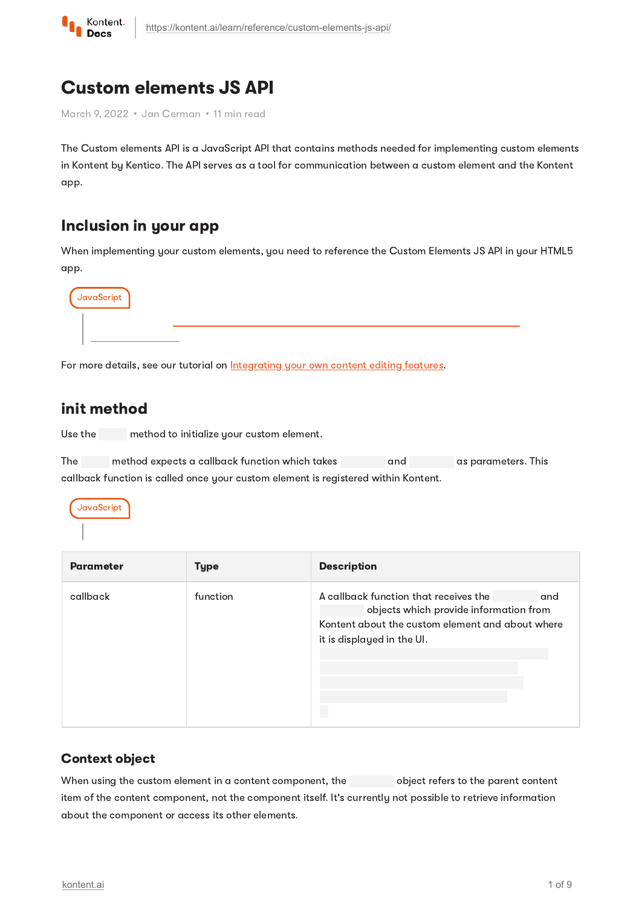

# Custom elements JS API

March 9, 2022 · Jan Cerman · 11 min read

The Custom elements API is a JavaScript API that contains methods needed for implementing custom elements in Kontent by Kentico. The API serves as a tool for communication between a custom element and the Kontent app.

# Inclusion in your app

When implementing your custom elements, you need to reference the Custom Elements JS API in your HTML5 app.



For more details, see our tutorial on **[Integrating](https://kontent.ai/learn/tutorials/develop-apps/integrate/content-editing-extensions/) your own content editing features**.

## init method

Use the method to initialize your custom element.

The method expects a callback function which takes and as parameters. This callback function is called once your custom element is registered within Kontent.



| <b>Parameter</b> | <b>Type</b> | <b>Description</b>                                                                                                                                                       |
|------------------|-------------|--------------------------------------------------------------------------------------------------------------------------------------------------------------------------|
| callback         | function    | A callback function that receives the<br>and<br>objects which provide information from<br>Kontent about the custom element and about where<br>it is displayed in the UI. |

### Context object

When using the custom element in a content component, the object refers to the parent content item of the content component, not the component itself. It's currently not possible to retrieve information about the component or access its other elements.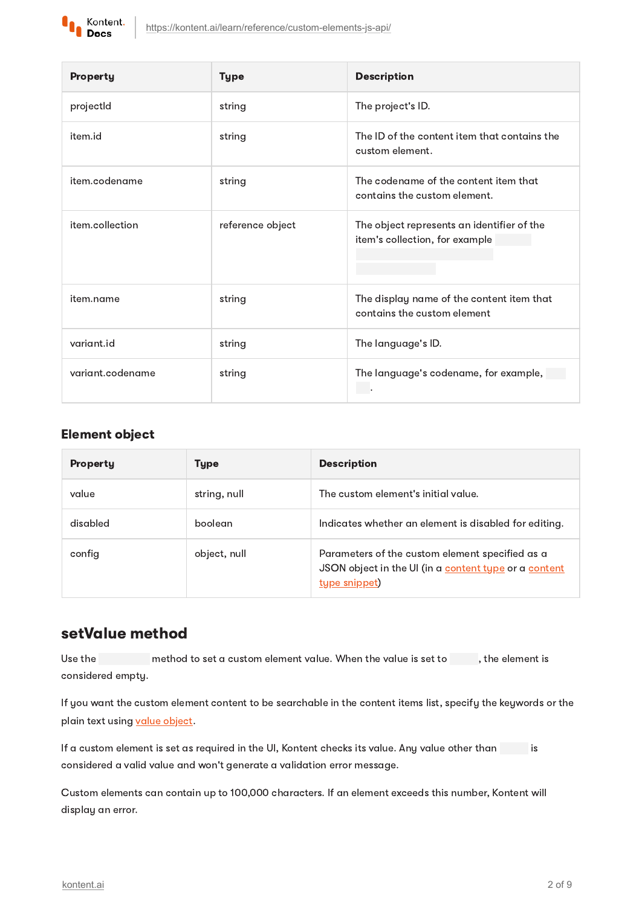

| <b>Property</b>  | <b>Type</b>      | <b>Description</b>                                                           |
|------------------|------------------|------------------------------------------------------------------------------|
| projectId        | string           | The project's ID.                                                            |
| item.id          | string           | The ID of the content item that contains the<br>custom element.              |
| item.codename    | string           | The codename of the content item that<br>contains the custom element.        |
| item.collection  | reference object | The object represents an identifier of the<br>item's collection, for example |
| item.name        | string           | The display name of the content item that<br>contains the custom element     |
| variant.id       | string           | The language's ID.                                                           |
| variant.codename | string           | The language's codename, for example,                                        |

#### Element object

| Property | <b>Type</b>  | <b>Description</b>                                                                                                        |
|----------|--------------|---------------------------------------------------------------------------------------------------------------------------|
| value    | string, null | The custom element's initial value.                                                                                       |
| disabled | boolean      | Indicates whether an element is disabled for editing.                                                                     |
| config   | object, null | Parameters of the custom element specified as a<br>JSON object in the UI (in a content type or a content<br>type snippet) |

## setValue method

Use the method to set a custom element value. When the value is set to find the element is considered empty.

If you want the custom element content to be searchable in the content items list, specify the keywords or the plain text using value [object.](#page-2-0)

If a custom element is set as required in the UI, Kontent checks its value. Any value other than is considered a valid value and won't generate a validation error message.

Custom elements can contain up to 100,000 characters. If an element exceeds this number, Kontent will display an error.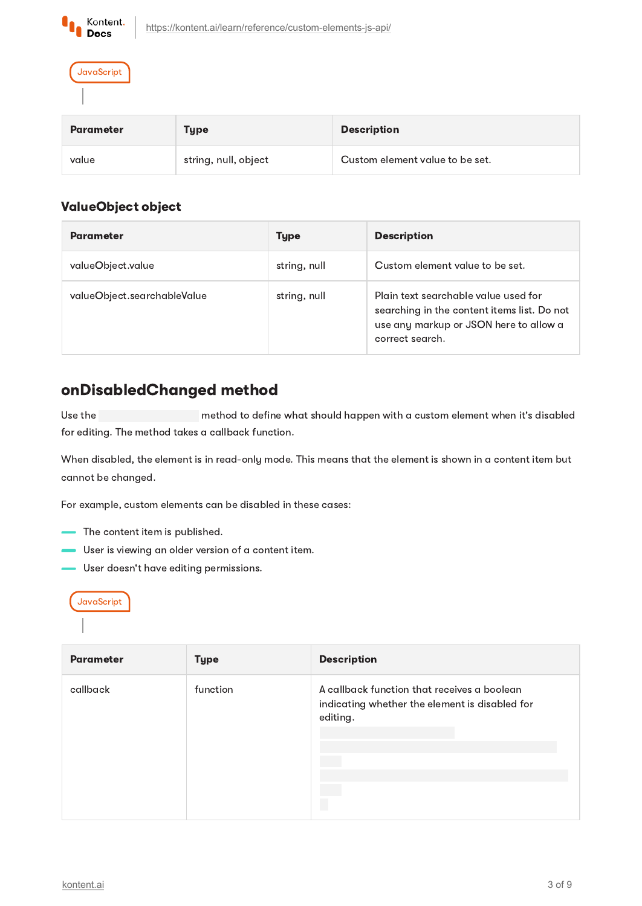

**JavaScript** 

| <b>Parameter</b> | Type                 | <b>Description</b>              |
|------------------|----------------------|---------------------------------|
| value            | string, null, object | Custom element value to be set. |

### <span id="page-2-0"></span>ValueObject object

| <b>Parameter</b>            | <b>Type</b>  | <b>Description</b>                                                                                                                               |
|-----------------------------|--------------|--------------------------------------------------------------------------------------------------------------------------------------------------|
| valueObject.value           | string, null | Custom element value to be set.                                                                                                                  |
| valueObject.searchableValue | string, null | Plain text searchable value used for<br>searching in the content items list. Do not<br>use any markup or JSON here to allow a<br>correct search. |

# onDisabledChanged method

Use the method to define what should happen with a custom element when it's disabled for editing. The method takes a callback function.

When disabled, the element is in read-only mode. This means that the element is shown in a content item but cannot be changed.

For example, custom elements can be disabled in these cases:

- The content item is published.
- User is viewing an older version of a content item.
- User doesn't have editing permissions.



| <b>Parameter</b> | <b>Type</b> | <b>Description</b>                                                                                        |
|------------------|-------------|-----------------------------------------------------------------------------------------------------------|
| callback         | function    | A callback function that receives a boolean<br>indicating whether the element is disabled for<br>editing. |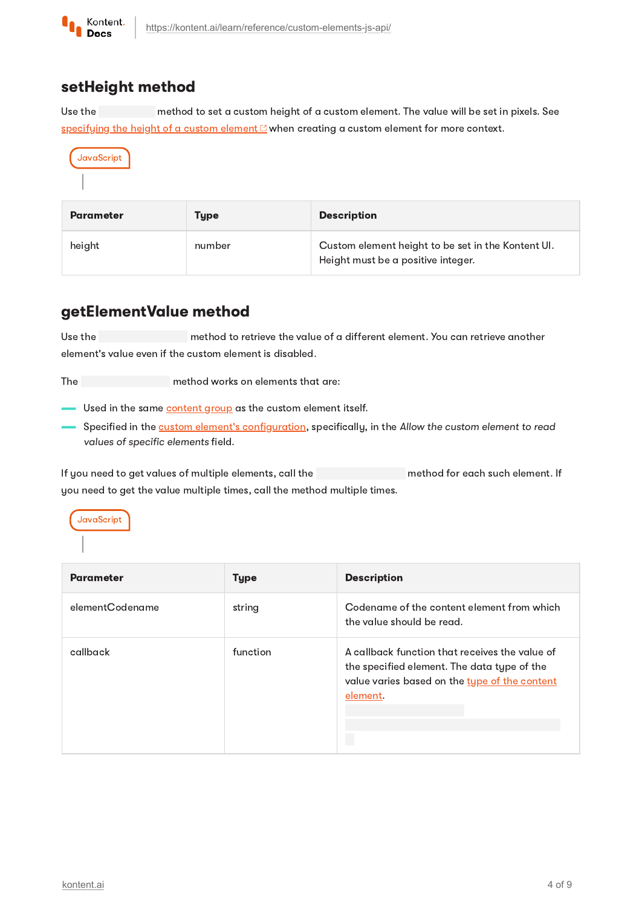

## setHeight method

Use the method to set a custom height of a custom element. The value will be set in pixels. See [specifying](https://github.com/Kentico/kontent-custom-element-samples/blob/master/CREATE_CUSTOM_ELEMENT.md#7-set-the-elements-size) the height of a custom element  $C$  when creating a custom element for more context.

JavaScript

| <b>Parameter</b> | Type   | <b>Description</b>                                                                       |
|------------------|--------|------------------------------------------------------------------------------------------|
| height           | number | Custom element height to be set in the Kontent UI.<br>Height must be a positive integer. |

# <span id="page-3-0"></span>getElementValue method

Use the method to retrieve the value of a different element. You can retrieve another element's value even if the custom element is disabled.

The method works on elements that are:

- Used in the same [content](https://kontent.ai/learn/tutorials/manage-kontent/content-modeling/organize-elements-with-content-groups/) group as the custom element itself.

 $-$  Specified in the <u>custom element's configuration</u>, specifically, in the Allow the custom element to read values of specific elements field.

If you need to get values of multiple elements, call the method for each such element. If you need to get the value multiple times, call the method multiple times.

**JavaScript** 

| <b>Parameter</b> | <b>Type</b> | <b>Description</b>                                                                                                                                         |
|------------------|-------------|------------------------------------------------------------------------------------------------------------------------------------------------------------|
| elementCodename  | string      | Codename of the content element from which<br>the value should be read.                                                                                    |
| callback         | function    | A callback function that receives the value of<br>the specified element. The data type of the<br>value varies based on the type of the content<br>element. |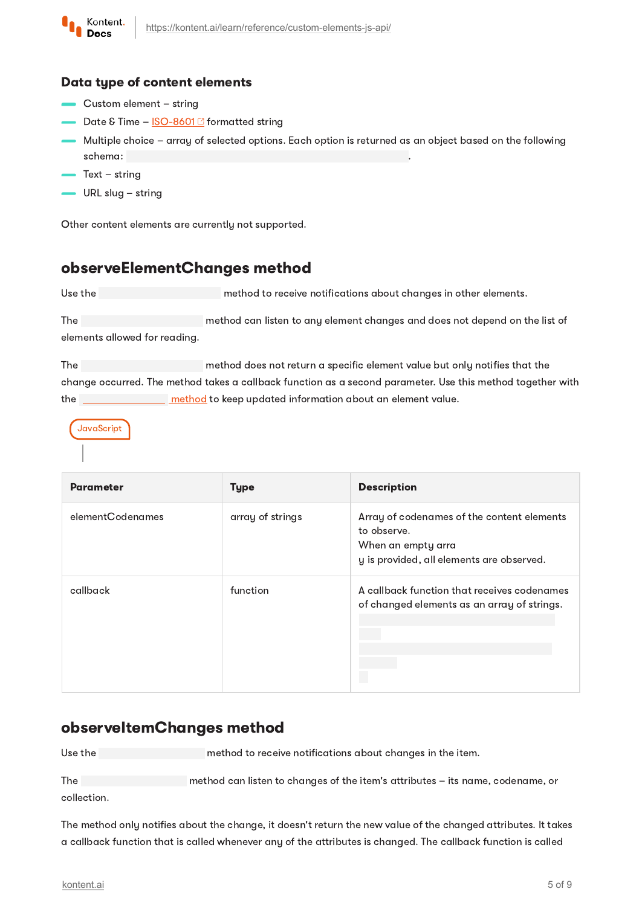

#### <span id="page-4-0"></span>Data type of content elements

- Custom element string
- Date & Time  $ISO-8601\,\mathrm{C}$  $ISO-8601\,\mathrm{C}$  formatted string
- Multiple choice array of selected options. Each option is returned as an object based on the following schema: .
- Text string
- URL slug string

Other content elements are currently not supported.

# observeElementChanges method

Use the method to receive notifications about changes in other elements.

The method can listen to any element changes and does not depend on the list of elements allowed for reading.

The method does not return a specific element value but only notifies that the change occurred. The method takes a callback function as a second parameter. Use this method together with the **[method](#page-3-0)** to keep updated information about an element value.

**JavaScript** 

| <b>Parameter</b> | <b>Type</b>      | <b>Description</b>                                                                                                           |
|------------------|------------------|------------------------------------------------------------------------------------------------------------------------------|
| elementCodenames | array of strings | Array of codenames of the content elements<br>to observe.<br>When an empty arra<br>y is provided, all elements are observed. |
| callback         | function         | A callback function that receives codenames<br>of changed elements as an array of strings.                                   |

## observeItemChanges method

Use the method to receive notifications about changes in the item.

The method can listen to changes of the item's attributes – its name, codename, or collection.

The method only notifies about the change, it doesn't return the new value of the changed attributes. It takes a callback function that is called whenever any of the attributes is changed. The callback function is called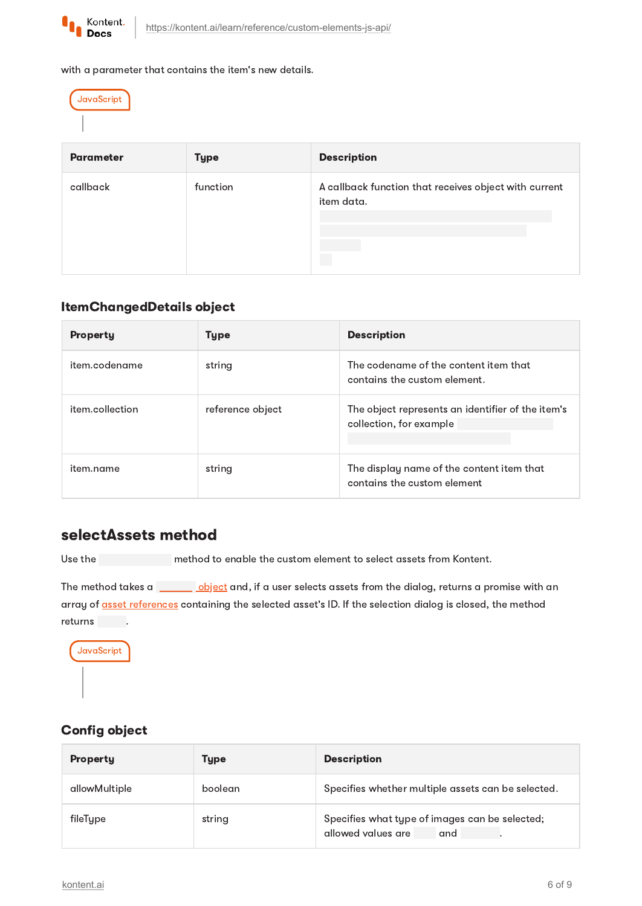

with a parameter that contains the item's new details.



| <b>Parameter</b> | <b>Type</b> | <b>Description</b>                                                  |
|------------------|-------------|---------------------------------------------------------------------|
| callback         | function    | A callback function that receives object with current<br>item data. |

#### ItemChangedDetails object

| <b>Property</b> | Type             | <b>Description</b>                                                           |
|-----------------|------------------|------------------------------------------------------------------------------|
| item.codename   | string           | The codename of the content item that<br>contains the custom element.        |
| item.collection | reference object | The object represents an identifier of the item's<br>collection, for example |
| item.name       | string           | The display name of the content item that<br>contains the custom element     |

## <span id="page-5-1"></span>selectAssets method

Use the method to enable the custom element to select assets from Kontent.

The method takes a [object](#page-5-0) and, if a user selects assets from the dialog, returns a promise with an array of **asset [references](#page-6-0)** containing the selected asset's ID. If the selection dialog is closed, the method returns .



## <span id="page-5-0"></span>Config object

| Property      | Type    | <b>Description</b>                                                          |
|---------------|---------|-----------------------------------------------------------------------------|
| allowMultiple | boolean | Specifies whether multiple assets can be selected.                          |
| fileType      | string  | Specifies what type of images can be selected;<br>allowed values are<br>and |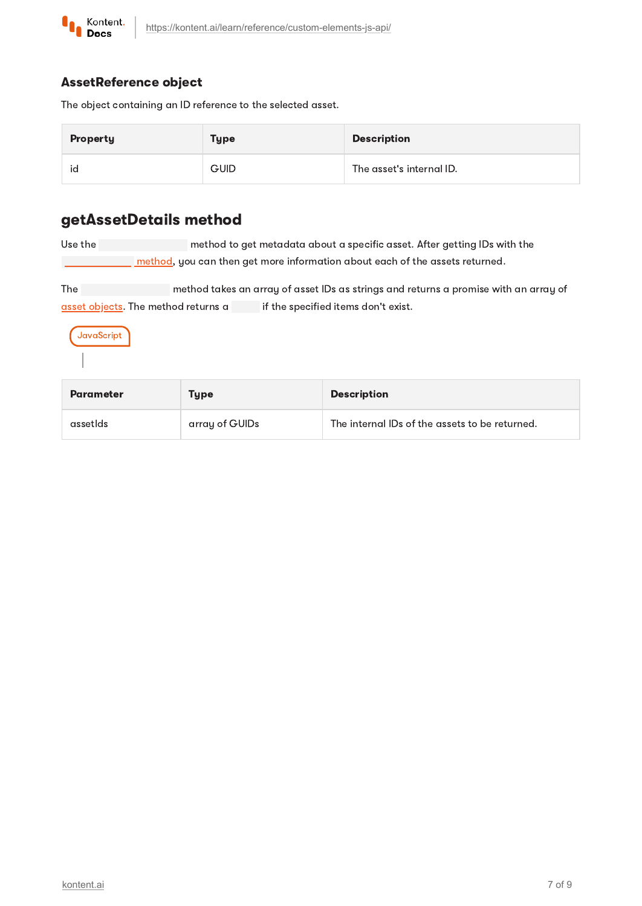

### <span id="page-6-0"></span>AssetReference object

The object containing an ID reference to the selected asset.

| Property | <b>Type</b> | <b>Description</b>       |
|----------|-------------|--------------------------|
| ıd       | <b>GUID</b> | The asset's internal ID. |

# getAssetDetails method

Use the method to get metadata about a specific asset. After getting IDs with the  $\Box$  [method](#page-5-1), you can then get more information about each of the assets returned.

The method takes an array of asset IDs as strings and returns a promise with an array of asset [objects.](#page-7-0) The method returns a if the specified items don't exist.

JavaScript

| <b>Parameter</b> | Type           | <b>Description</b>                             |
|------------------|----------------|------------------------------------------------|
| assetIds         | array of GUIDs | The internal IDs of the assets to be returned. |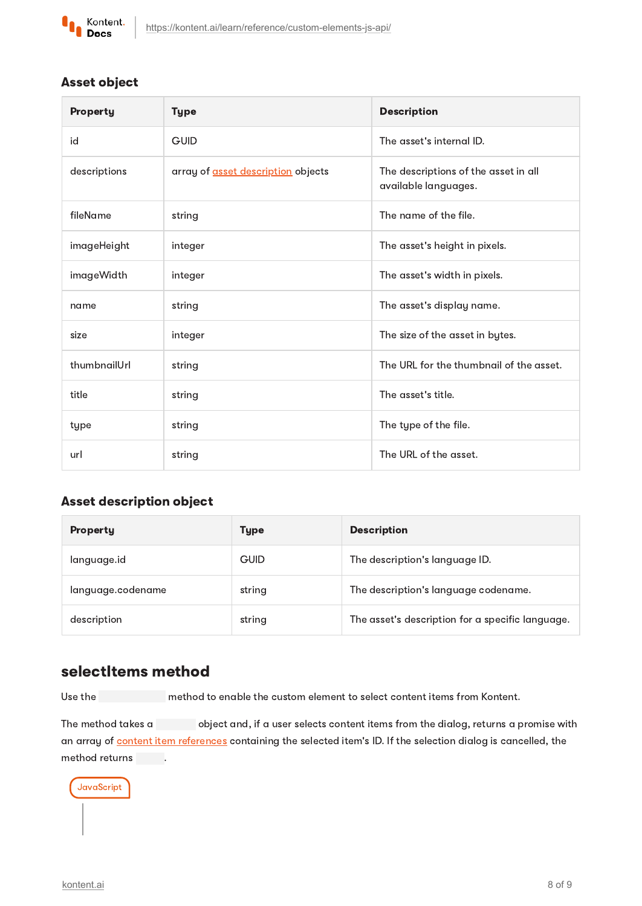

### <span id="page-7-0"></span>Asset object

| Property     | <b>Type</b>                        | <b>Description</b>                                           |
|--------------|------------------------------------|--------------------------------------------------------------|
| id           | <b>GUID</b>                        | The asset's internal ID.                                     |
| descriptions | array of asset description objects | The descriptions of the asset in all<br>available languages. |
| fileName     | string                             | The name of the file.                                        |
| imageHeight  | integer                            | The asset's height in pixels.                                |
| imageWidth   | integer                            | The asset's width in pixels.                                 |
| name         | string                             | The asset's display name.                                    |
| size         | integer                            | The size of the asset in bytes.                              |
| thumbnailUrl | string                             | The URL for the thumbnail of the asset.                      |
| title        | string                             | The asset's title.                                           |
| type         | string                             | The type of the file.                                        |
| url          | string                             | The URL of the asset.                                        |

### <span id="page-7-1"></span>Asset description object

| Property          | Type        | <b>Description</b>                               |
|-------------------|-------------|--------------------------------------------------|
| language.id       | <b>GUID</b> | The description's language ID.                   |
| language.codename | string      | The description's language codename.             |
| description       | string      | The asset's description for a specific language. |

# selectItems method

Use the method to enable the custom element to select content items from Kontent.

The method takes a object and, if a user selects content items from the dialog, returns a promise with an array of content item [references](#page-8-0) containing the selected item's ID. If the selection dialog is cancelled, the method returns .